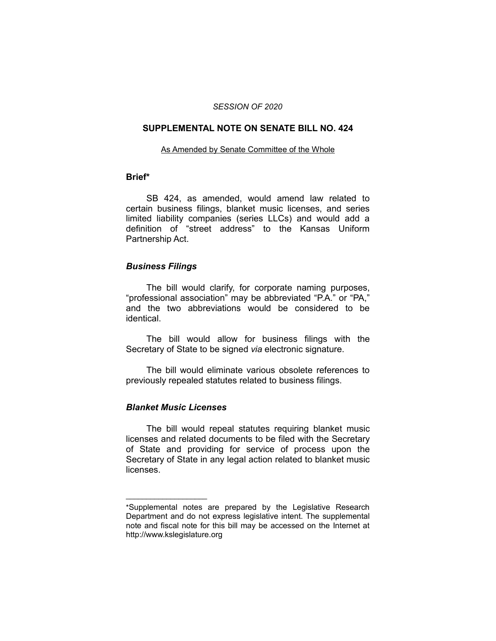#### *SESSION OF 2020*

#### **SUPPLEMENTAL NOTE ON SENATE BILL NO. 424**

#### As Amended by Senate Committee of the Whole

#### **Brief\***

SB 424, as amended, would amend law related to certain business filings, blanket music licenses, and series limited liability companies (series LLCs) and would add a definition of "street address" to the Kansas Uniform Partnership Act.

### *Business Filings*

The bill would clarify, for corporate naming purposes, "professional association" may be abbreviated "P.A." or "PA," and the two abbreviations would be considered to be identical.

The bill would allow for business filings with the Secretary of State to be signed *via* electronic signature.

The bill would eliminate various obsolete references to previously repealed statutes related to business filings.

### *Blanket Music Licenses*

 $\overline{\phantom{a}}$  , where  $\overline{\phantom{a}}$  , where  $\overline{\phantom{a}}$ 

The bill would repeal statutes requiring blanket music licenses and related documents to be filed with the Secretary of State and providing for service of process upon the Secretary of State in any legal action related to blanket music licenses.

<sup>\*</sup>Supplemental notes are prepared by the Legislative Research Department and do not express legislative intent. The supplemental note and fiscal note for this bill may be accessed on the Internet at http://www.kslegislature.org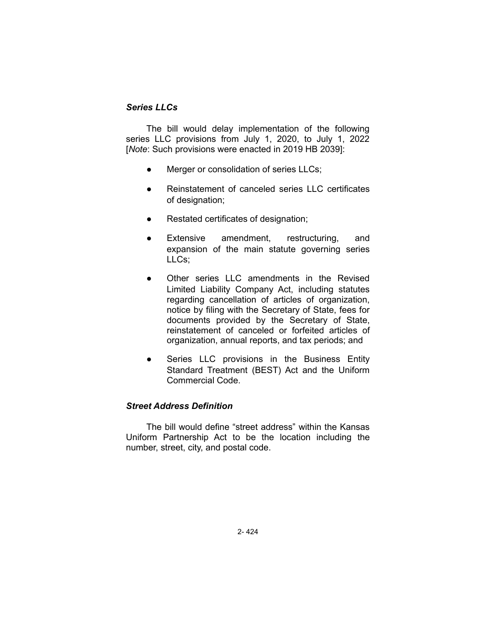# *Series LLCs*

The bill would delay implementation of the following series LLC provisions from July 1, 2020, to July 1, 2022 [*Note*: Such provisions were enacted in 2019 HB 2039]:

- Merger or consolidation of series LLCs;
- Reinstatement of canceled series LLC certificates of designation;
- Restated certificates of designation;
- Extensive amendment, restructuring, and expansion of the main statute governing series LLCs;
- Other series LLC amendments in the Revised Limited Liability Company Act, including statutes regarding cancellation of articles of organization, notice by filing with the Secretary of State, fees for documents provided by the Secretary of State, reinstatement of canceled or forfeited articles of organization, annual reports, and tax periods; and
- Series LLC provisions in the Business Entity Standard Treatment (BEST) Act and the Uniform Commercial Code.

## *Street Address Definition*

The bill would define "street address" within the Kansas Uniform Partnership Act to be the location including the number, street, city, and postal code.